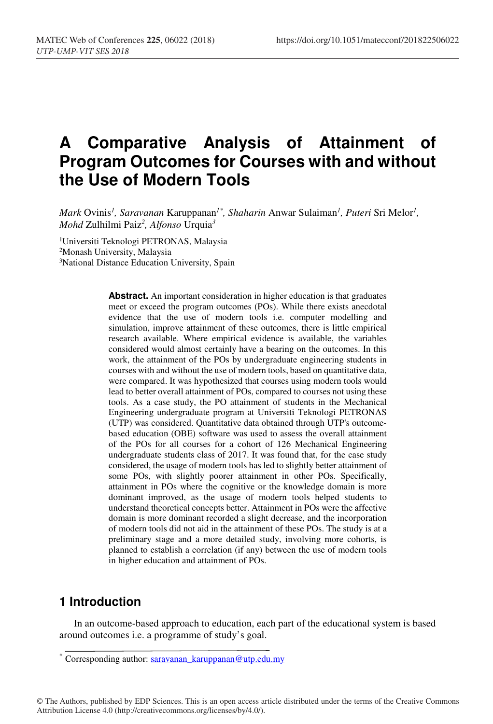# **A Comparative Analysis of Attainment of Program Outcomes for Courses with and without the Use of Modern Tools**

*Mark* Ovinis*<sup>1</sup> , Saravanan* Karuppanan*1\*, Shaharin* Anwar Sulaiman*<sup>1</sup> , Puteri* Sri Melor*<sup>1</sup> , Mohd* Zulhilmi Paiz*<sup>2</sup> , Alfonso* Urquia*<sup>3</sup>*

1Universiti Teknologi PETRONAS, Malaysia 2Monash University, Malaysia <sup>3</sup>National Distance Education University, Spain

> **Abstract.** An important consideration in higher education is that graduates meet or exceed the program outcomes (POs). While there exists anecdotal evidence that the use of modern tools i.e. computer modelling and simulation, improve attainment of these outcomes, there is little empirical research available. Where empirical evidence is available, the variables considered would almost certainly have a bearing on the outcomes. In this work, the attainment of the POs by undergraduate engineering students in courses with and without the use of modern tools, based on quantitative data, were compared. It was hypothesized that courses using modern tools would lead to better overall attainment of POs, compared to courses not using these tools. As a case study, the PO attainment of students in the Mechanical Engineering undergraduate program at Universiti Teknologi PETRONAS (UTP) was considered. Quantitative data obtained through UTP's outcomebased education (OBE) software was used to assess the overall attainment of the POs for all courses for a cohort of 126 Mechanical Engineering undergraduate students class of 2017. It was found that, for the case study considered, the usage of modern tools has led to slightly better attainment of some POs, with slightly poorer attainment in other POs. Specifically, attainment in POs where the cognitive or the knowledge domain is more dominant improved, as the usage of modern tools helped students to understand theoretical concepts better. Attainment in POs were the affective domain is more dominant recorded a slight decrease, and the incorporation of modern tools did not aid in the attainment of these POs. The study is at a preliminary stage and a more detailed study, involving more cohorts, is planned to establish a correlation (if any) between the use of modern tools in higher education and attainment of POs.

#### **1 Introduction**

In an outcome-based approach to education, each part of the educational system is based around outcomes i.e. a programme of study's goal.

<sup>\*</sup> Corresponding author: saravanan\_karuppanan@utp.edu.my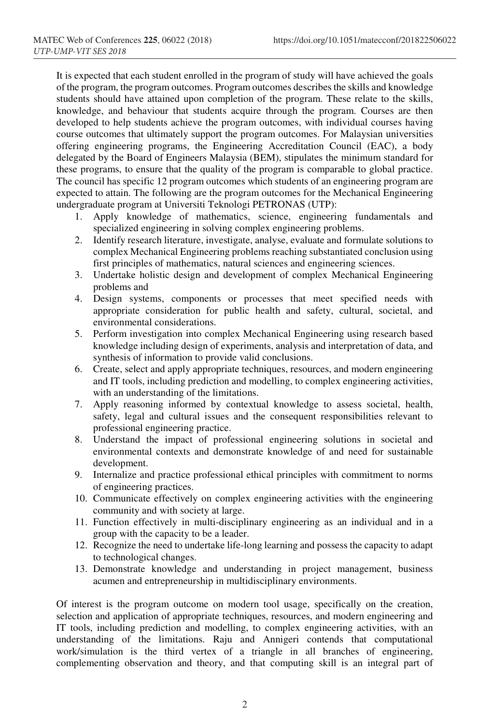It is expected that each student enrolled in the program of study will have achieved the goals of the program, the program outcomes. Program outcomes describes the skills and knowledge students should have attained upon completion of the program. These relate to the skills, knowledge, and behaviour that students acquire through the program. Courses are then developed to help students achieve the program outcomes, with individual courses having course outcomes that ultimately support the program outcomes. For Malaysian universities offering engineering programs, the Engineering Accreditation Council (EAC), a body delegated by the Board of Engineers Malaysia (BEM), stipulates the minimum standard for these programs, to ensure that the quality of the program is comparable to global practice. The council has specific 12 program outcomes which students of an engineering program are expected to attain. The following are the program outcomes for the Mechanical Engineering undergraduate program at Universiti Teknologi PETRONAS (UTP):

- 1. Apply knowledge of mathematics, science, engineering fundamentals and specialized engineering in solving complex engineering problems.
- 2. Identify research literature, investigate, analyse, evaluate and formulate solutions to complex Mechanical Engineering problems reaching substantiated conclusion using first principles of mathematics, natural sciences and engineering sciences.
- 3. Undertake holistic design and development of complex Mechanical Engineering problems and
- 4. Design systems, components or processes that meet specified needs with appropriate consideration for public health and safety, cultural, societal, and environmental considerations.
- 5. Perform investigation into complex Mechanical Engineering using research based knowledge including design of experiments, analysis and interpretation of data, and synthesis of information to provide valid conclusions.
- 6. Create, select and apply appropriate techniques, resources, and modern engineering and IT tools, including prediction and modelling, to complex engineering activities, with an understanding of the limitations.
- 7. Apply reasoning informed by contextual knowledge to assess societal, health, safety, legal and cultural issues and the consequent responsibilities relevant to professional engineering practice.
- 8. Understand the impact of professional engineering solutions in societal and environmental contexts and demonstrate knowledge of and need for sustainable development.
- 9. Internalize and practice professional ethical principles with commitment to norms of engineering practices.
- 10. Communicate effectively on complex engineering activities with the engineering community and with society at large.
- 11. Function effectively in multi-disciplinary engineering as an individual and in a group with the capacity to be a leader.
- 12. Recognize the need to undertake life-long learning and possess the capacity to adapt to technological changes.
- 13. Demonstrate knowledge and understanding in project management, business acumen and entrepreneurship in multidisciplinary environments.

Of interest is the program outcome on modern tool usage, specifically on the creation, selection and application of appropriate techniques, resources, and modern engineering and IT tools, including prediction and modelling, to complex engineering activities, with an understanding of the limitations. Raju and Annigeri contends that computational work/simulation is the third vertex of a triangle in all branches of engineering, complementing observation and theory, and that computing skill is an integral part of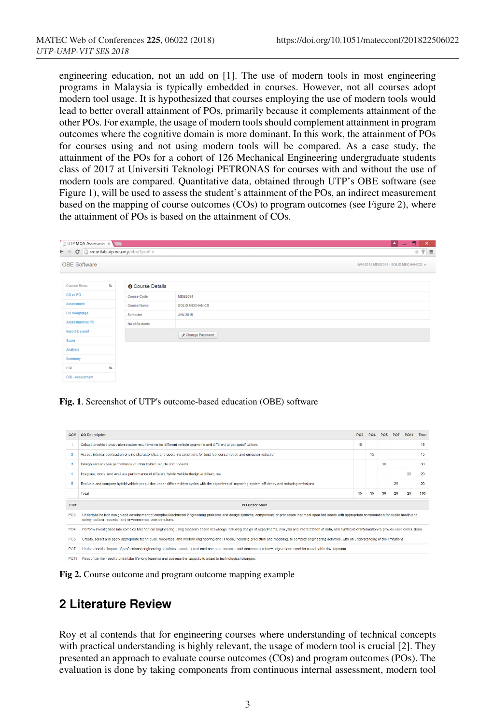engineering education, not an add on [1]. The use of modern tools in most engineering programs in Malaysia is typically embedded in courses. However, not all courses adopt modern tool usage. It is hypothesized that courses employing the use of modern tools would lead to better overall attainment of POs, primarily because it complements attainment of the other POs. For example, the usage of modern tools should complement attainment in program outcomes where the cognitive domain is more dominant. In this work, the attainment of POs for courses using and not using modern tools will be compared. As a case study, the attainment of the POs for a cohort of 126 Mechanical Engineering undergraduate students class of 2017 at Universiti Teknologi PETRONAS for courses with and without the use of modern tools are compared. Quantitative data, obtained through UTP's OBE software (see Figure 1), will be used to assess the student's attainment of the POs, an indirect measurement based on the mapping of course outcomes (COs) to program outcomes (see Figure 2), where the attainment of POs is based on the attainment of COs.

| UTP MQA Assessmen x                                                    |                |                         |                          | - 0<br>E.<br>$\boldsymbol{\times}$   |
|------------------------------------------------------------------------|----------------|-------------------------|--------------------------|--------------------------------------|
| $\leftarrow \rightarrow \mathbf{C}$ h smartlab.utp.edu.my/obe/?profile |                |                         |                          | $+$ $+$ $=$                          |
| <b>OBE Software</b>                                                    |                |                         |                          | JAN 2015 MDB2034 - SOLID MECHANICS - |
| <b>Course Menu</b>                                                     | $\blacksquare$ | <b>O</b> Course Details |                          |                                      |
| CO <sub>vs</sub> PO                                                    |                | Course Code             | MDB2034                  |                                      |
| Assessment                                                             |                | Course Name             | <b>SOLID MECHANICS</b>   |                                      |
| CO Weightage                                                           |                | Semester                | <b>JAN 2015</b>          |                                      |
| Assessment vs PO                                                       |                | No of Students          |                          |                                      |
| Import & export                                                        |                |                         | <b>⊁</b> Change Password |                                      |
| Score                                                                  |                |                         |                          |                                      |
| Analysis                                                               |                |                         |                          |                                      |
| Summary                                                                |                |                         |                          |                                      |
| CQI                                                                    | $\equiv$       |                         |                          |                                      |
| CQI - Assessment                                                       |                |                         |                          |                                      |

**Fig. 1**. Screenshot of UTP's outcome-based education (OBE) software

| CO <sub>II</sub> | <b>CO Description</b>                                                                                                                                                                                                                                                            | PO3 |    |    |    | PO <sub>11</sub> | Total |  |  |  |
|------------------|----------------------------------------------------------------------------------------------------------------------------------------------------------------------------------------------------------------------------------------------------------------------------------|-----|----|----|----|------------------|-------|--|--|--|
|                  | Calculate vehicle propulsion system requirements for different vehicle segments and different target specifications                                                                                                                                                              | 15  |    |    |    |                  | 15    |  |  |  |
| ٠                | Assess internal combustion engine characteristics and operating conditions for best fuel consumption and emission reduction                                                                                                                                                      |     | 15 |    |    |                  | 15    |  |  |  |
| 3                | Design and analyse performance of other hybrid vehicle components                                                                                                                                                                                                                |     |    | 30 |    |                  | 30    |  |  |  |
|                  | Integrate, model and evaluate performance of different hybrid vehicle design architectures                                                                                                                                                                                       |     |    |    |    | 20               | 20    |  |  |  |
| 5                | Evaluate and compare hybrid vehicle propulsion under different drive cycles with the objectives of improving system efficiency and reducing emissions                                                                                                                            |     |    |    |    |                  | 20    |  |  |  |
|                  | Total                                                                                                                                                                                                                                                                            | 15  | 15 | 30 | 20 | 20               | 100   |  |  |  |
| PO#              | <b>PO</b> Description                                                                                                                                                                                                                                                            |     |    |    |    |                  |       |  |  |  |
| PO <sub>3</sub>  | Undertake holistic design and development of complex Mechanical Engineering problems and design systems, components or processes that meet specified needs with appropriate consideration for public health and<br>safety, cultural, societal, and environmental considerations. |     |    |    |    |                  |       |  |  |  |
|                  |                                                                                                                                                                                                                                                                                  |     |    |    |    |                  |       |  |  |  |
| PO <sub>4</sub>  | Perform investigation into complex Mechanical Engineering using research based knowledge including design of experiments, analysis and interpretation of data, and synthesis of information to provide valid conclusions,                                                        |     |    |    |    |                  |       |  |  |  |
| PO <sub>5</sub>  | Create, select and apply appropriate techniques, resources, and modern engineering and IT tools, including prediction and modeling, to complex engineering activities, with an understanding of the limitations.                                                                 |     |    |    |    |                  |       |  |  |  |
| PO7              | Understand the impact of professional engineering solutions in societal and environmental contexts and demonstrate knowledge of and need for sustainable development.                                                                                                            |     |    |    |    |                  |       |  |  |  |

**Fig 2.** Course outcome and program outcome mapping example

#### **2 Literature Review**

Roy et al contends that for engineering courses where understanding of technical concepts with practical understanding is highly relevant, the usage of modern tool is crucial [2]. They presented an approach to evaluate course outcomes (COs) and program outcomes (POs). The evaluation is done by taking components from continuous internal assessment, modern tool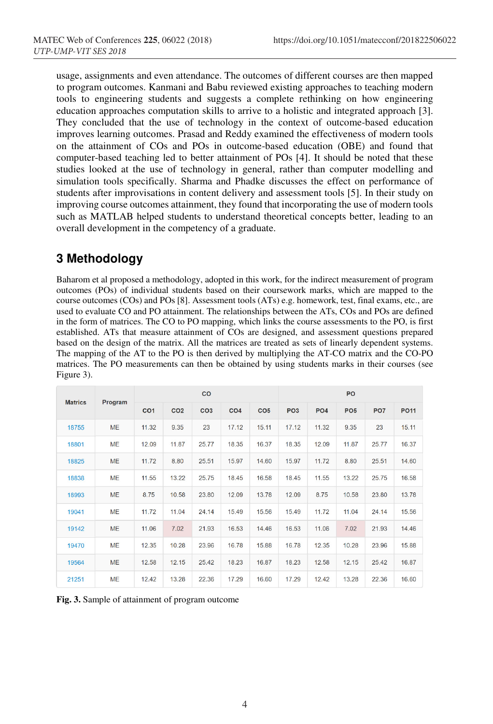usage, assignments and even attendance. The outcomes of different courses are then mapped to program outcomes. Kanmani and Babu reviewed existing approaches to teaching modern tools to engineering students and suggests a complete rethinking on how engineering education approaches computation skills to arrive to a holistic and integrated approach [3]. They concluded that the use of technology in the context of outcome-based education improves learning outcomes. Prasad and Reddy examined the effectiveness of modern tools on the attainment of COs and POs in outcome-based education (OBE) and found that computer-based teaching led to better attainment of POs [4]. It should be noted that these studies looked at the use of technology in general, rather than computer modelling and simulation tools specifically. Sharma and Phadke discusses the effect on performance of students after improvisations in content delivery and assessment tools [5]. In their study on improving course outcomes attainment, they found that incorporating the use of modern tools such as MATLAB helped students to understand theoretical concepts better, leading to an overall development in the competency of a graduate.

### **3 Methodology**

Baharom et al proposed a methodology, adopted in this work, for the indirect measurement of program outcomes (POs) of individual students based on their coursework marks, which are mapped to the course outcomes (COs) and POs [8]. Assessment tools (ATs) e.g. homework, test, final exams, etc., are used to evaluate CO and PO attainment. The relationships between the ATs, COs and POs are defined in the form of matrices. The CO to PO mapping, which links the course assessments to the PO, is first established. ATs that measure attainment of COs are designed, and assessment questions prepared based on the design of the matrix. All the matrices are treated as sets of linearly dependent systems. The mapping of the AT to the PO is then derived by multiplying the AT-CO matrix and the CO-PO matrices. The PO measurements can then be obtained by using students marks in their courses (see Figure 3).

| <b>Matrics</b> | Program   | CO              |                 |                 |                 | PO              |                 |                 |                 |                 |             |
|----------------|-----------|-----------------|-----------------|-----------------|-----------------|-----------------|-----------------|-----------------|-----------------|-----------------|-------------|
|                |           | CO <sub>1</sub> | CO <sub>2</sub> | CO <sub>3</sub> | CO <sub>4</sub> | CO <sub>5</sub> | PO <sub>3</sub> | PO <sub>4</sub> | PO <sub>5</sub> | PO <sub>7</sub> | <b>PO11</b> |
| 18755          | <b>ME</b> | 11.32           | 9.35            | 23              | 17.12           | 15.11           | 17.12           | 11.32           | 9.35            | 23              | 15.11       |
| 18801          | <b>ME</b> | 12.09           | 11.87           | 25.77           | 18.35           | 16.37           | 18.35           | 12.09           | 11.87           | 25.77           | 16.37       |
| 18825          | <b>ME</b> | 11.72           | 8.80            | 25.51           | 15.97           | 14.60           | 15.97           | 11.72           | 8.80            | 25.51           | 14.60       |
| 18838          | <b>ME</b> | 11.55           | 13.22           | 25.75           | 18.45           | 16.58           | 18.45           | 11.55           | 13.22           | 25.75           | 16.58       |
| 18993          | <b>ME</b> | 8.75            | 10.58           | 23.80           | 12.09           | 13.78           | 12.09           | 8.75            | 10.58           | 23.80           | 13.78       |
| 19041          | <b>ME</b> | 11.72           | 11.04           | 24.14           | 15.49           | 15.56           | 15.49           | 11.72           | 11.04           | 24.14           | 15.56       |
| 19142          | <b>ME</b> | 11.06           | 7.02            | 21.93           | 16.53           | 14.46           | 16.53           | 11.06           | 7.02            | 21.93           | 14.46       |
| 19470          | <b>ME</b> | 12.35           | 10.28           | 23.96           | 16.78           | 15.88           | 16.78           | 12.35           | 10.28           | 23.96           | 15.88       |
| 19564          | <b>ME</b> | 12.58           | 12.15           | 25.42           | 18.23           | 16.87           | 18.23           | 12.58           | 12.15           | 25.42           | 16.87       |
| 21251          | <b>ME</b> | 12.42           | 13.28           | 22.36           | 17.29           | 16.60           | 17.29           | 12.42           | 13.28           | 22.36           | 16.60       |

**Fig. 3.** Sample of attainment of program outcome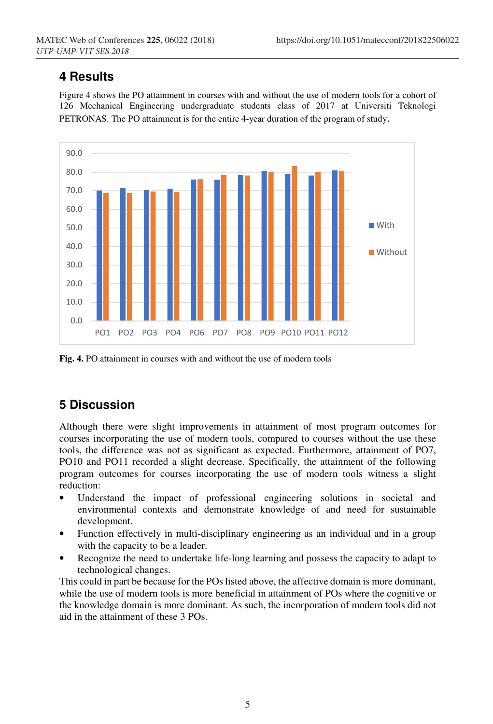## **4 Results**

Figure 4 shows the PO attainment in courses with and without the use of modern tools for a cohort of 126 Mechanical Engineering undergraduate students class of 2017 at Universiti Teknologi PETRONAS. The PO attainment is for the entire 4-year duration of the program of study.



**Fig. 4.** PO attainment in courses with and without the use of modern tools

## **5 Discussion**

Although there were slight improvements in attainment of most program outcomes for courses incorporating the use of modern tools, compared to courses without the use these tools, the difference was not as significant as expected. Furthermore, attainment of PO7, PO10 and PO11 recorded a slight decrease. Specifically, the attainment of the following program outcomes for courses incorporating the use of modern tools witness a slight reduction:

- Understand the impact of professional engineering solutions in societal and environmental contexts and demonstrate knowledge of and need for sustainable development.
- Function effectively in multi-disciplinary engineering as an individual and in a group with the capacity to be a leader.
- Recognize the need to undertake life-long learning and possess the capacity to adapt to technological changes.

This could in part be because for the POs listed above, the affective domain is more dominant, while the use of modern tools is more beneficial in attainment of POs where the cognitive or the knowledge domain is more dominant. As such, the incorporation of modern tools did not aid in the attainment of these 3 POs.